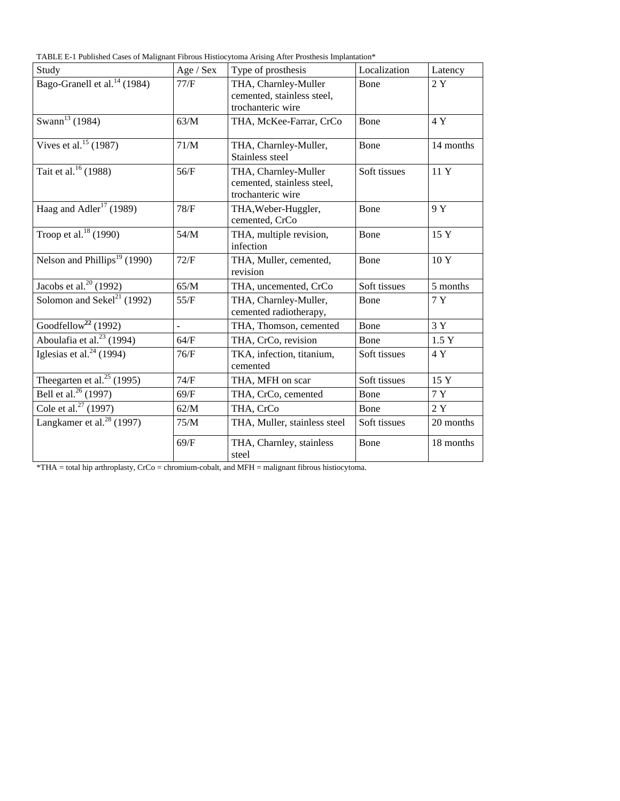TABLE E-1 Published Cases of Malignant Fibrous Histiocytoma Arising After Prosthesis Implantation\*

| Study                                    | Age / Sex      | Type of prosthesis                                                      | Localization | Latency   |
|------------------------------------------|----------------|-------------------------------------------------------------------------|--------------|-----------|
| Bago-Granell et al. <sup>14</sup> (1984) | 77/F           | THA, Charnley-Muller<br>cemented, stainless steel,<br>trochanteric wire | Bone         | 2Y        |
| Swann <sup>13</sup> (1984)               | 63/M           | THA, McKee-Farrar, CrCo                                                 | Bone         | 4Y        |
| Vives et al. <sup>15</sup> (1987)        | 71/M           | THA, Charnley-Muller,<br>Stainless steel                                | Bone         | 14 months |
| Tait et al. $16$ (1988)                  | 56/F           | THA, Charnley-Muller<br>cemented, stainless steel,<br>trochanteric wire | Soft tissues | 11 Y      |
| Haag and Adler <sup>17</sup> (1989)      | 78/F           | THA, Weber-Huggler,<br>cemented, CrCo                                   | Bone         | 9 Y       |
| Troop et al. <sup>18</sup> (1990)        | 54/M           | THA, multiple revision,<br>infection                                    | Bone         | 15 Y      |
| Nelson and Phillips <sup>19</sup> (1990) | 72/F           | THA, Muller, cemented,<br>revision                                      | Bone         | 10 Y      |
| Jacobs et al. <sup>20</sup> (1992)       | 65/M           | THA, uncemented, CrCo                                                   | Soft tissues | 5 months  |
| Solomon and Sekel <sup>21</sup> (1992)   | 55/F           | THA, Charnley-Muller,<br>cemented radiotherapy,                         | Bone         | 7 Y       |
| Goodfellow <sup>22</sup> (1992)          | $\overline{a}$ | THA, Thomson, cemented                                                  | Bone         | 3Y        |
| Aboulafia et al. <sup>23</sup> (1994)    | 64/F           | THA, CrCo, revision                                                     | Bone         | 1.5Y      |
| Iglesias et al. $^{24}$ (1994)           | 76/F           | TKA, infection, titanium,<br>cemented                                   | Soft tissues | 4 Y       |
| The egarten et al. <sup>25</sup> (1995)  | 74/F           | THA, MFH on scar                                                        | Soft tissues | 15 Y      |
| Bell et al. <sup>26</sup> (1997)         | 69/F           | THA, CrCo, cemented                                                     | Bone         | 7 Y       |
| Cole et al. <sup>27</sup> (1997)         | 62/M           | THA, CrCo                                                               | Bone         | 2Y        |
| Langkamer et al. $28(1997)$              | 75/M           | THA, Muller, stainless steel                                            | Soft tissues | 20 months |
|                                          | 69/F           | THA, Charnley, stainless<br>steel                                       | Bone         | 18 months |

\*THA = total hip arthroplasty, CrCo = chromium-cobalt, and MFH = malignant fibrous histiocytoma.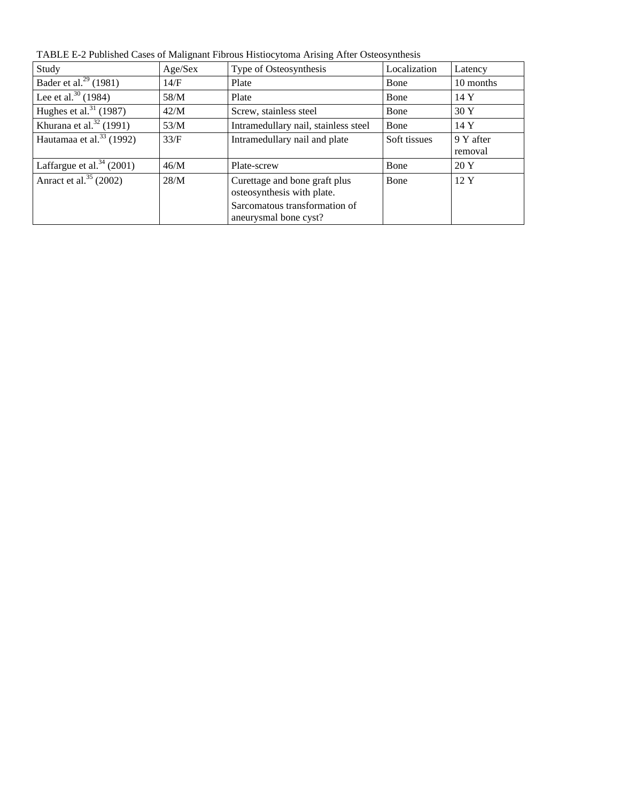| Study                                | Age/Sex | Type of Osteosynthesis                                      | Localization | Latency              |
|--------------------------------------|---------|-------------------------------------------------------------|--------------|----------------------|
| Bader et al. <sup>29</sup> (1981)    | 14/F    | Plate                                                       | <b>B</b> one | 10 months            |
| Lee et al. $^{30}$ (1984)            | 58/M    | Plate                                                       | Bone         | 14Y                  |
| Hughes et al. $^{31}$ (1987)         | 42/M    | Screw, stainless steel                                      | Bone         | 30Y                  |
| Khurana et al. $32$ (1991)           | 53/M    | Intramedullary nail, stainless steel                        | <b>B</b> one | 14 Y                 |
| Hautamaa et al. <sup>33</sup> (1992) | 33/F    | Intramedullary nail and plate                               | Soft tissues | 9 Y after<br>removal |
| Laffargue et al. $34$ (2001)         | 46/M    | Plate-screw                                                 | Bone         | 20Y                  |
| Anract et al. $^{35}$ (2002)         | 28/M    | Curettage and bone graft plus<br>osteosynthesis with plate. | <b>B</b> one | $12 \text{ Y}$       |
|                                      |         | Sarcomatous transformation of<br>aneurysmal bone cyst?      |              |                      |

TABLE E-2 Published Cases of Malignant Fibrous Histiocytoma Arising After Osteosynthesis